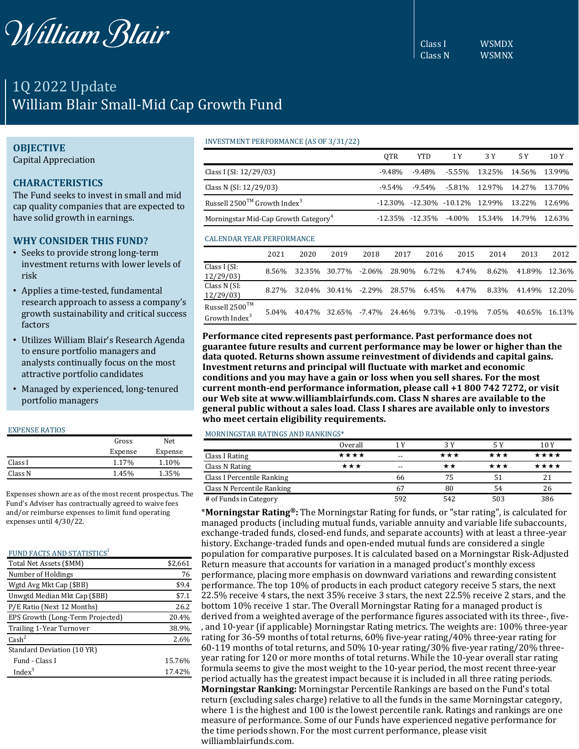

1Q 2022 Update William Blair Small-Mid Cap Growth Fund

# **OBJECTIVE**

Capital Appreciation

# **CHARACTERISTICS**

The Fund seeks to invest in small and mid cap quality companies that are expected to have solid growth in earnings.

## **WHY CONSIDER THIS FUND?**

- Seeks to provide strong long-term investment returns with lower levels of risk
- Applies a time-tested, fundamental research approach to assess a company's growth sustainability and critical success factors
- Utilizes William Blair's Research Agenda to ensure portfolio managers and analysts continually focus on the most attractive portfolio candidates
- Managed by experienced, long-tenured portfolio managers

### EXPENSE RATIOS

|         | Gross   | Net.    |
|---------|---------|---------|
|         | Expense | Expense |
| Class I | 1.17%   | 1.10%   |
| Class N | 1.45%   | 1.35%   |

Expenses shown are as of the most recent prospectus. The Fund's Adviser has contractually agreed to waive fees and/or reimburse expenses to limit fund operating expenses until 4/30/22.

### FUND FACTS AND STATISTICS<sup>1</sup>

| Total Net Assets (\$MM)          | \$2,661 |
|----------------------------------|---------|
| Number of Holdings               | 76      |
| Wgtd Avg Mkt Cap (\$BB)          | \$9.4   |
| Unwgtd Median Mkt Cap (\$BB)     | \$7.1   |
| P/E Ratio (Next 12 Months)       | 26.2    |
| EPS Growth (Long-Term Projected) | 20.4%   |
| Trailing 1-Year Turnover         | 38.9%   |
| $\text{Cash}^2$                  | 2.6%    |
| Standard Deviation (10 YR)       |         |
| Fund - Class I                   | 15.76%  |
| Index <sup>3</sup>               | 17.42%  |

### INVESTMENT PERFORMANCE (AS OF 3/31/22)

|                                                  | 0TR       | YTD. | 1 Y                                                           | 3 Y | 5 Y | 10 Y |
|--------------------------------------------------|-----------|------|---------------------------------------------------------------|-----|-----|------|
| Class I (SI: 12/29/03)                           | $-9.48\%$ |      | -9.48% -5.55% 13.25% 14.56% 13.99%                            |     |     |      |
| Class N (SI: 12/29/03)                           | $-9.54\%$ |      | -9.54% -5.81% 12.97% 14.27% 13.70%                            |     |     |      |
| Russell $2500^{TM}$ Growth Index <sup>3</sup>    |           |      | -12.30% -12.30% -10.12% 12.99% 13.22% 12.69%                  |     |     |      |
| Morningstar Mid-Cap Growth Category <sup>4</sup> |           |      | $-12.35\%$ $-12.35\%$ $-4.00\%$ $15.34\%$ $14.79\%$ $12.63\%$ |     |     |      |

### CALENDAR YEAR PERFORMANCE

|                                                         | 2021  | 2020 | 2019          | 2018 | 2017                              | 2016  | 2015   | 2014  | 2013          | 2012 |
|---------------------------------------------------------|-------|------|---------------|------|-----------------------------------|-------|--------|-------|---------------|------|
| Class I (SI:<br>12/29/03                                | 8.56% |      | 32.35% 30.77% |      | -2.06% 28.90%                     | 6.72% | 4.74%  | 8.62% | 41.89% 12.36% |      |
| Class N (SI:<br>12/29/03                                | 8.27% |      |               |      | 32.04% 30.41% -2.29% 28.57%       | 6.45% | 4.47%  | 8.33% | 41.49% 12.20% |      |
| Russell 2500 <sup>TM</sup><br>Growth Index <sup>3</sup> | 5.04% |      |               |      | 40.47% 32.65% -7.47% 24.46% 9.73% |       | -0.19% | 7.05% | 40.65% 16.13% |      |

**Performance cited represents past performance. Past performance does not guarantee future results and current performance may be lower or higher than the data quoted. Returns shown assume reinvestment of dividends and capital gains. Investment returns and principal will fluctuate with market and economic conditions and you may have a gain or loss when you sell shares. For the most current month-end performance information, please call +1 800 742 7272, or visit our Web site at www.williamblairfunds.com. Class N shares are available to the general public without a sales load. Class I shares are available only to investors who meet certain eligibility requirements.**

### MORNINGSTAR RATINGS AND RANKINGS\*

|                            | Overall |       | 3 Y | 5 Y | 10 Y |
|----------------------------|---------|-------|-----|-----|------|
| Class I Rating             | ****    | $- -$ | *** | ★★★ | **** |
| Class N Rating             | ***     | $- -$ |     | *** | **** |
| Class I Percentile Ranking |         | 66    | 75  | 51  | 21   |
| Class N Percentile Ranking |         | 67    | 80  | 54  | 26   |
| # of Funds in Category     |         | 592   | 542 | 503 | 386  |

\***Morningstar Rating®:** The Morningstar Rating for funds, or "star rating", is calculated for managed products (including mutual funds, variable annuity and variable life subaccounts, exchange-traded funds, closed-end funds, and separate accounts) with at least a three-year history. Exchange-traded funds and open-ended mutual funds are considered a single population for comparative purposes. It is calculated based on a Morningstar Risk-Adjusted Return measure that accounts for variation in a managed product's monthly excess performance, placing more emphasis on downward variations and rewarding consistent performance. The top 10% of products in each product category receive 5 stars, the next 22.5% receive 4 stars, the next 35% receive 3 stars, the next 22.5% receive 2 stars, and the bottom 10% receive 1 star. The Overall Morningstar Rating for a managed product is derived from a weighted average of the performance figures associated with its three-, five- , and 10-year (if applicable) Morningstar Rating metrics. The weights are: 100% three-year rating for 36-59 months of total returns, 60% five-year rating/40% three-year rating for 60-119 months of total returns, and 50% 10-year rating/30% five-year rating/20% threeyear rating for 120 or more months of total returns. While the 10-year overall star rating formula seems to give the most weight to the 10-year period, the most recent three-year period actually has the greatest impact because it is included in all three rating periods. **Morningstar Ranking:** Morningstar Percentile Rankings are based on the Fund's total return (excluding sales charge) relative to all the funds in the same Morningstar category, where 1 is the highest and 100 is the lowest percentile rank. Ratings and rankings are one measure of performance. Some of our Funds have experienced negative performance for the time periods shown. For the most current performance, please visit williamblairfunds.com.

Class I WSMDX Class N WSMNX